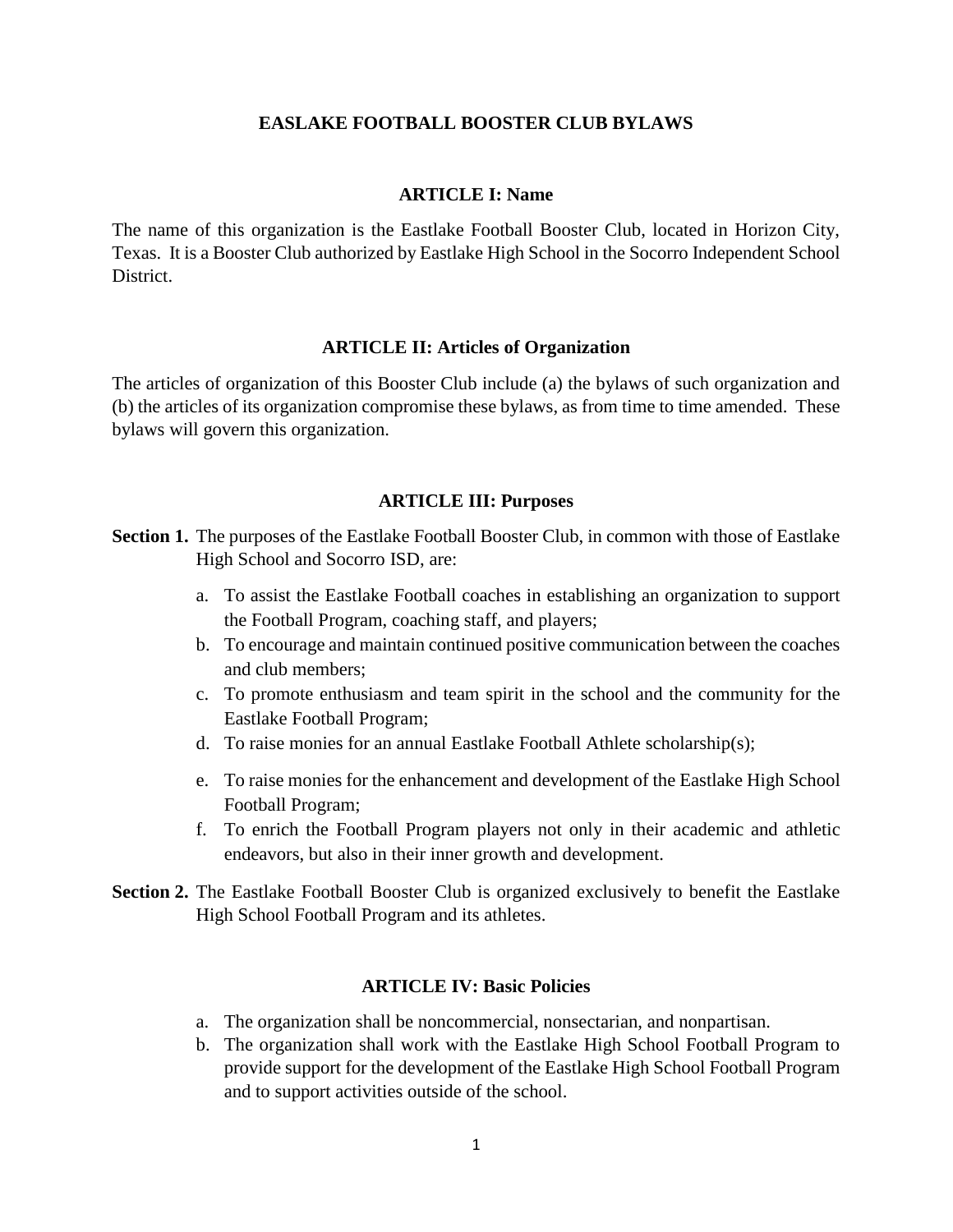#### **EASLAKE FOOTBALL BOOSTER CLUB BYLAWS**

#### **ARTICLE I: Name**

The name of this organization is the Eastlake Football Booster Club, located in Horizon City, Texas. It is a Booster Club authorized by Eastlake High School in the Socorro Independent School District.

#### **ARTICLE II: Articles of Organization**

The articles of organization of this Booster Club include (a) the bylaws of such organization and (b) the articles of its organization compromise these bylaws, as from time to time amended. These bylaws will govern this organization.

#### **ARTICLE III: Purposes**

**Section 1.** The purposes of the Eastlake Football Booster Club, in common with those of Eastlake High School and Socorro ISD, are:

- a. To assist the Eastlake Football coaches in establishing an organization to support the Football Program, coaching staff, and players;
- b. To encourage and maintain continued positive communication between the coaches and club members;
- c. To promote enthusiasm and team spirit in the school and the community for the Eastlake Football Program;
- d. To raise monies for an annual Eastlake Football Athlete scholarship(s);
- e. To raise monies for the enhancement and development of the Eastlake High School Football Program;
- f. To enrich the Football Program players not only in their academic and athletic endeavors, but also in their inner growth and development.
- **Section 2.** The Eastlake Football Booster Club is organized exclusively to benefit the Eastlake High School Football Program and its athletes.

#### **ARTICLE IV: Basic Policies**

- a. The organization shall be noncommercial, nonsectarian, and nonpartisan.
- b. The organization shall work with the Eastlake High School Football Program to provide support for the development of the Eastlake High School Football Program and to support activities outside of the school.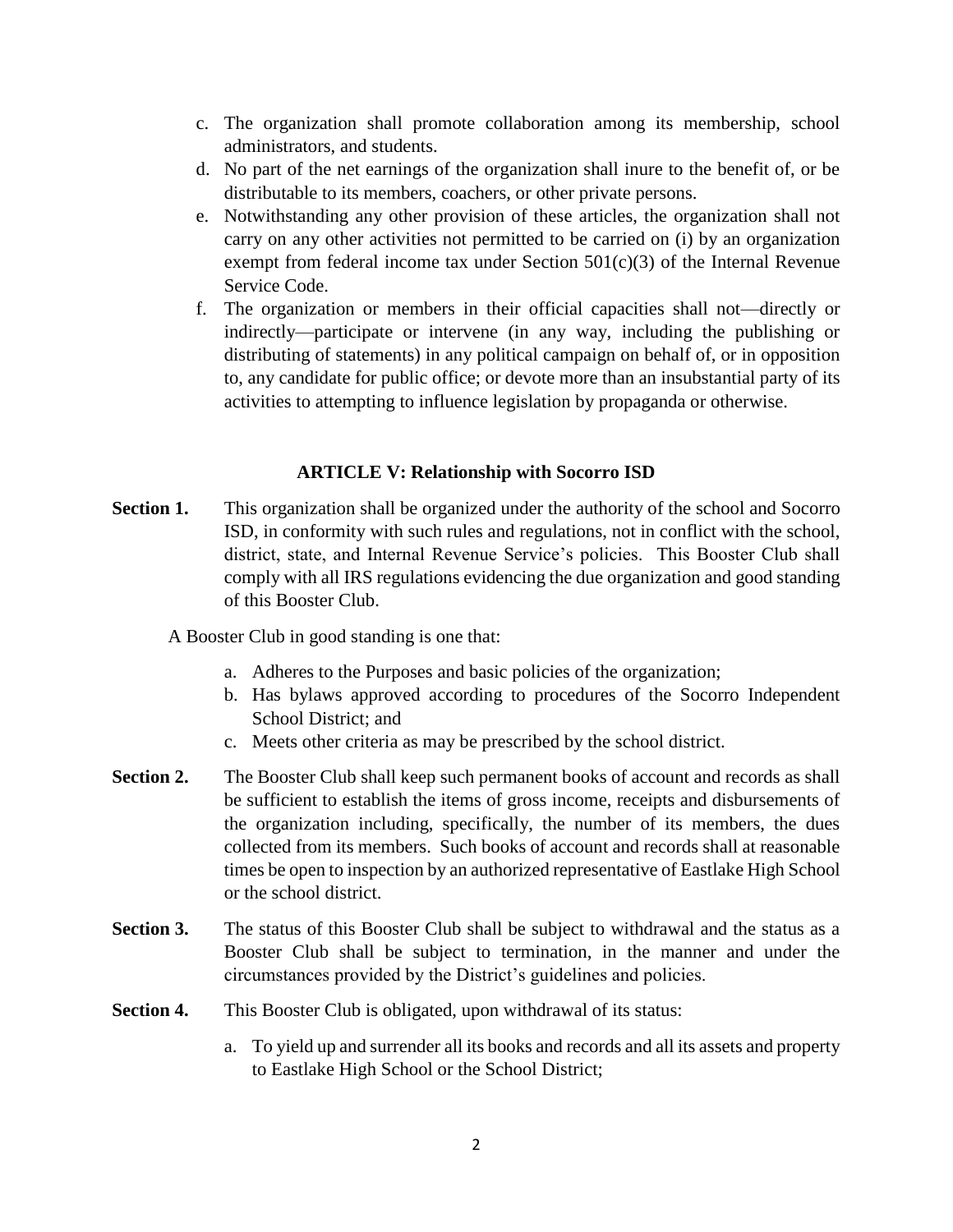- c. The organization shall promote collaboration among its membership, school administrators, and students.
- d. No part of the net earnings of the organization shall inure to the benefit of, or be distributable to its members, coachers, or other private persons.
- e. Notwithstanding any other provision of these articles, the organization shall not carry on any other activities not permitted to be carried on (i) by an organization exempt from federal income tax under Section  $501(c)(3)$  of the Internal Revenue Service Code.
- f. The organization or members in their official capacities shall not—directly or indirectly—participate or intervene (in any way, including the publishing or distributing of statements) in any political campaign on behalf of, or in opposition to, any candidate for public office; or devote more than an insubstantial party of its activities to attempting to influence legislation by propaganda or otherwise.

## **ARTICLE V: Relationship with Socorro ISD**

**Section 1.** This organization shall be organized under the authority of the school and Socorro ISD, in conformity with such rules and regulations, not in conflict with the school, district, state, and Internal Revenue Service's policies. This Booster Club shall comply with all IRS regulations evidencing the due organization and good standing of this Booster Club.

A Booster Club in good standing is one that:

- a. Adheres to the Purposes and basic policies of the organization;
- b. Has bylaws approved according to procedures of the Socorro Independent School District; and
- c. Meets other criteria as may be prescribed by the school district.
- **Section 2.** The Booster Club shall keep such permanent books of account and records as shall be sufficient to establish the items of gross income, receipts and disbursements of the organization including, specifically, the number of its members, the dues collected from its members. Such books of account and records shall at reasonable times be open to inspection by an authorized representative of Eastlake High School or the school district.
- **Section 3.** The status of this Booster Club shall be subject to withdrawal and the status as a Booster Club shall be subject to termination, in the manner and under the circumstances provided by the District's guidelines and policies.
- **Section 4.** This Booster Club is obligated, upon withdrawal of its status:
	- a. To yield up and surrender all its books and records and all its assets and property to Eastlake High School or the School District;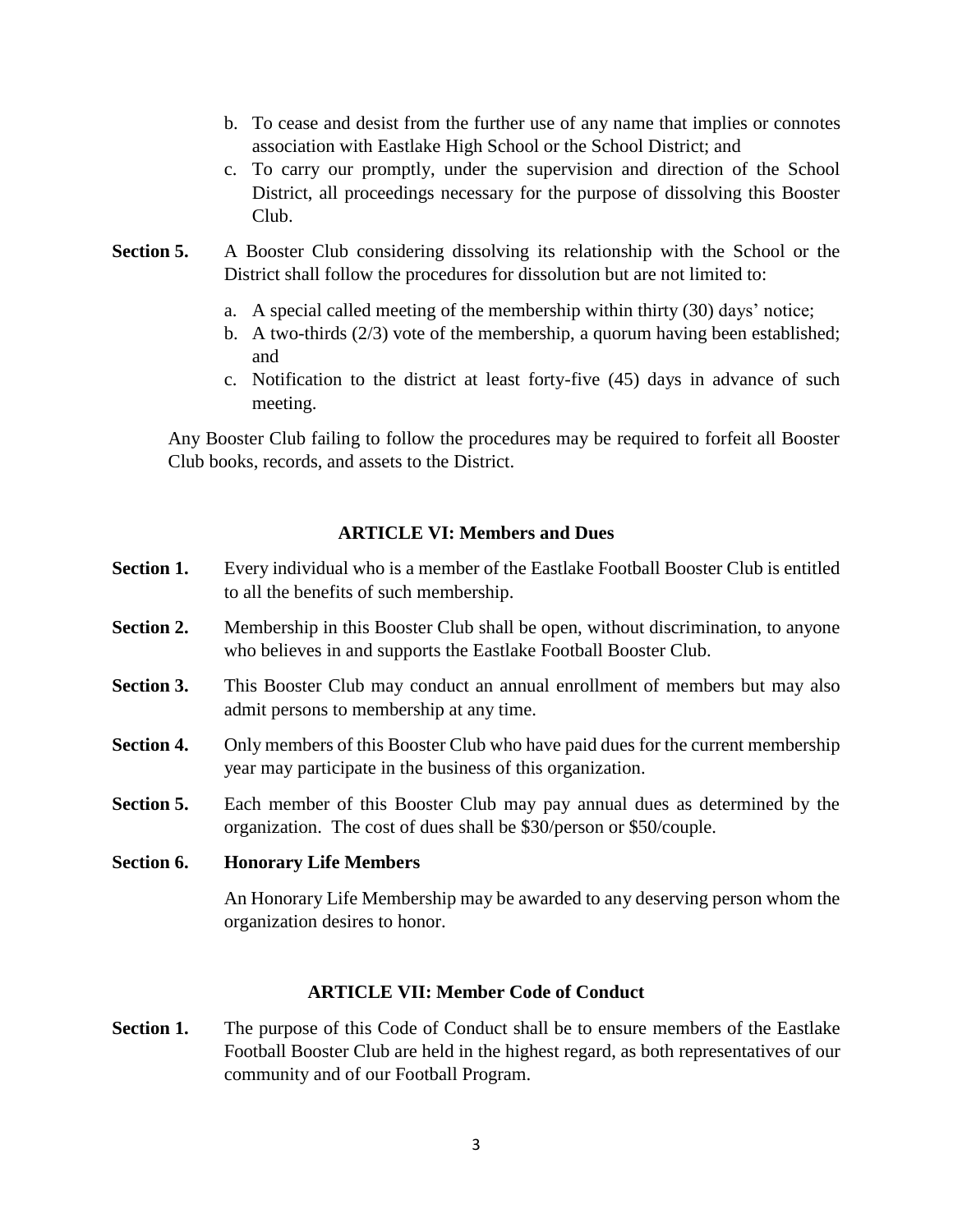- b. To cease and desist from the further use of any name that implies or connotes association with Eastlake High School or the School District; and
- c. To carry our promptly, under the supervision and direction of the School District, all proceedings necessary for the purpose of dissolving this Booster Club.
- **Section 5.** A Booster Club considering dissolving its relationship with the School or the District shall follow the procedures for dissolution but are not limited to:
	- a. A special called meeting of the membership within thirty (30) days' notice;
	- b. A two-thirds (2/3) vote of the membership, a quorum having been established; and
	- c. Notification to the district at least forty-five (45) days in advance of such meeting.

Any Booster Club failing to follow the procedures may be required to forfeit all Booster Club books, records, and assets to the District.

## **ARTICLE VI: Members and Dues**

- **Section 1.** Every individual who is a member of the Eastlake Football Booster Club is entitled to all the benefits of such membership.
- **Section 2.** Membership in this Booster Club shall be open, without discrimination, to anyone who believes in and supports the Eastlake Football Booster Club.
- **Section 3.** This Booster Club may conduct an annual enrollment of members but may also admit persons to membership at any time.
- **Section 4.** Only members of this Booster Club who have paid dues for the current membership year may participate in the business of this organization.
- **Section 5.** Each member of this Booster Club may pay annual dues as determined by the organization. The cost of dues shall be \$30/person or \$50/couple.
- **Section 6. Honorary Life Members**

An Honorary Life Membership may be awarded to any deserving person whom the organization desires to honor.

# **ARTICLE VII: Member Code of Conduct**

**Section 1.** The purpose of this Code of Conduct shall be to ensure members of the Eastlake Football Booster Club are held in the highest regard, as both representatives of our community and of our Football Program.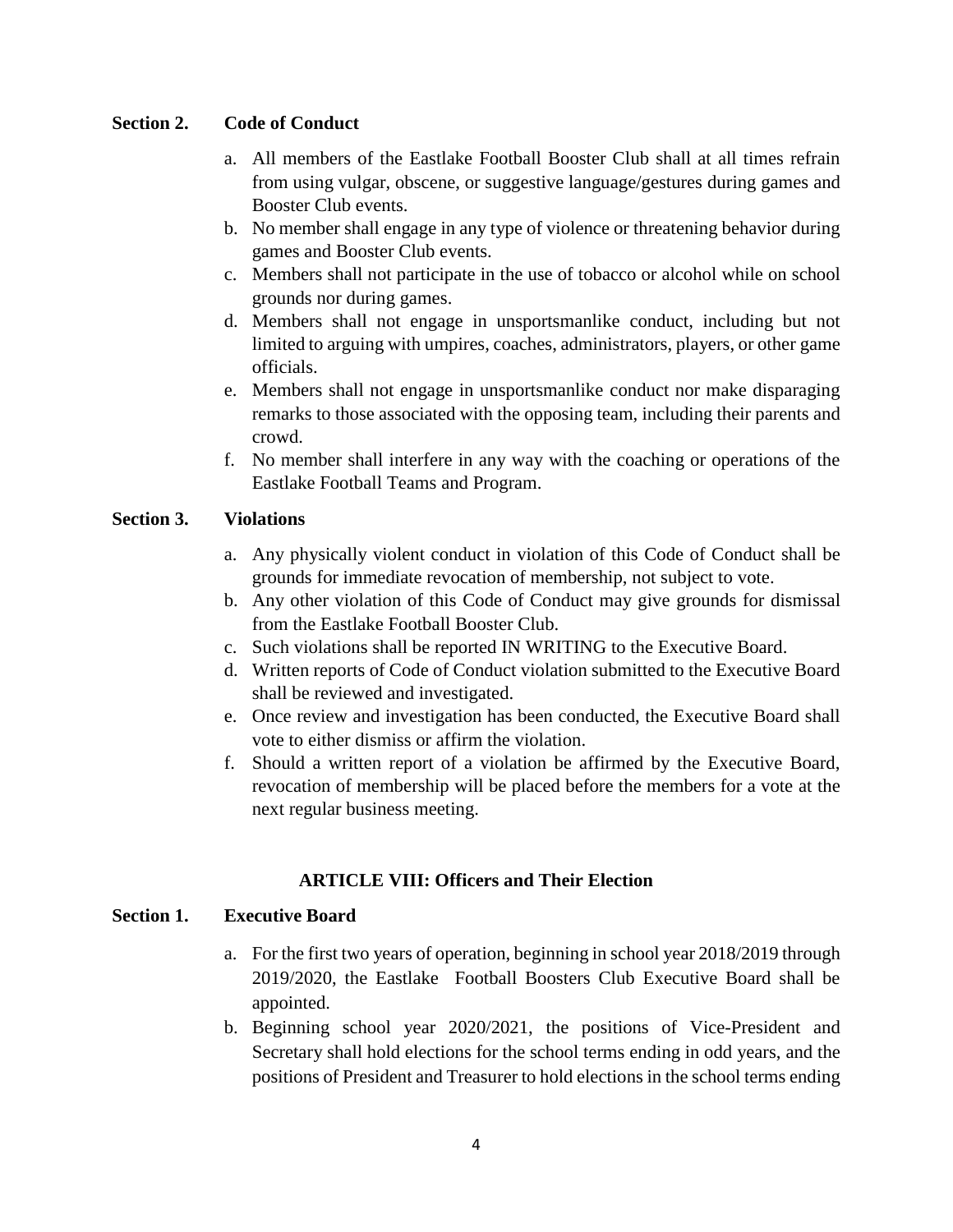# **Section 2. Code of Conduct**

- a. All members of the Eastlake Football Booster Club shall at all times refrain from using vulgar, obscene, or suggestive language/gestures during games and Booster Club events.
- b. No member shall engage in any type of violence or threatening behavior during games and Booster Club events.
- c. Members shall not participate in the use of tobacco or alcohol while on school grounds nor during games.
- d. Members shall not engage in unsportsmanlike conduct, including but not limited to arguing with umpires, coaches, administrators, players, or other game officials.
- e. Members shall not engage in unsportsmanlike conduct nor make disparaging remarks to those associated with the opposing team, including their parents and crowd.
- f. No member shall interfere in any way with the coaching or operations of the Eastlake Football Teams and Program.

# **Section 3. Violations**

- a. Any physically violent conduct in violation of this Code of Conduct shall be grounds for immediate revocation of membership, not subject to vote.
- b. Any other violation of this Code of Conduct may give grounds for dismissal from the Eastlake Football Booster Club.
- c. Such violations shall be reported IN WRITING to the Executive Board.
- d. Written reports of Code of Conduct violation submitted to the Executive Board shall be reviewed and investigated.
- e. Once review and investigation has been conducted, the Executive Board shall vote to either dismiss or affirm the violation.
- f. Should a written report of a violation be affirmed by the Executive Board, revocation of membership will be placed before the members for a vote at the next regular business meeting.

# **ARTICLE VIII: Officers and Their Election**

# **Section 1. Executive Board**

- a. For the first two years of operation, beginning in school year 2018/2019 through 2019/2020, the Eastlake Football Boosters Club Executive Board shall be appointed.
- b. Beginning school year 2020/2021, the positions of Vice-President and Secretary shall hold elections for the school terms ending in odd years, and the positions of President and Treasurer to hold elections in the school terms ending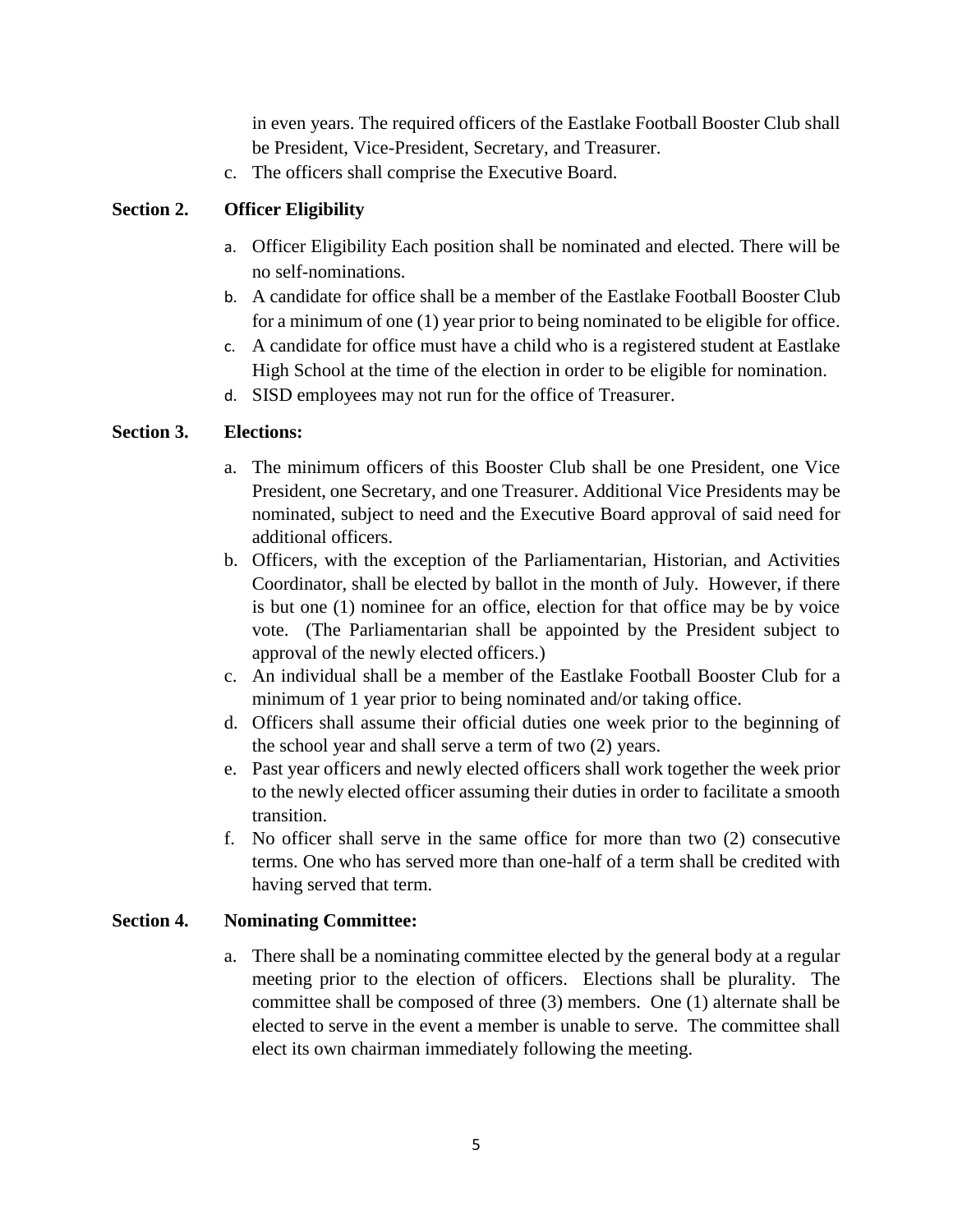in even years. The required officers of the Eastlake Football Booster Club shall be President, Vice-President, Secretary, and Treasurer.

c. The officers shall comprise the Executive Board.

# **Section 2. Officer Eligibility**

- a. Officer Eligibility Each position shall be nominated and elected. There will be no self-nominations.
- b. A candidate for office shall be a member of the Eastlake Football Booster Club for a minimum of one (1) year prior to being nominated to be eligible for office.
- c. A candidate for office must have a child who is a registered student at Eastlake High School at the time of the election in order to be eligible for nomination.
- d. SISD employees may not run for the office of Treasurer.

# **Section 3. Elections:**

- a. The minimum officers of this Booster Club shall be one President, one Vice President, one Secretary, and one Treasurer. Additional Vice Presidents may be nominated, subject to need and the Executive Board approval of said need for additional officers.
- b. Officers, with the exception of the Parliamentarian, Historian, and Activities Coordinator, shall be elected by ballot in the month of July. However, if there is but one (1) nominee for an office, election for that office may be by voice vote. (The Parliamentarian shall be appointed by the President subject to approval of the newly elected officers.)
- c. An individual shall be a member of the Eastlake Football Booster Club for a minimum of 1 year prior to being nominated and/or taking office.
- d. Officers shall assume their official duties one week prior to the beginning of the school year and shall serve a term of two (2) years.
- e. Past year officers and newly elected officers shall work together the week prior to the newly elected officer assuming their duties in order to facilitate a smooth transition.
- f. No officer shall serve in the same office for more than two (2) consecutive terms. One who has served more than one-half of a term shall be credited with having served that term.

# **Section 4. Nominating Committee:**

a. There shall be a nominating committee elected by the general body at a regular meeting prior to the election of officers. Elections shall be plurality. The committee shall be composed of three (3) members. One (1) alternate shall be elected to serve in the event a member is unable to serve. The committee shall elect its own chairman immediately following the meeting.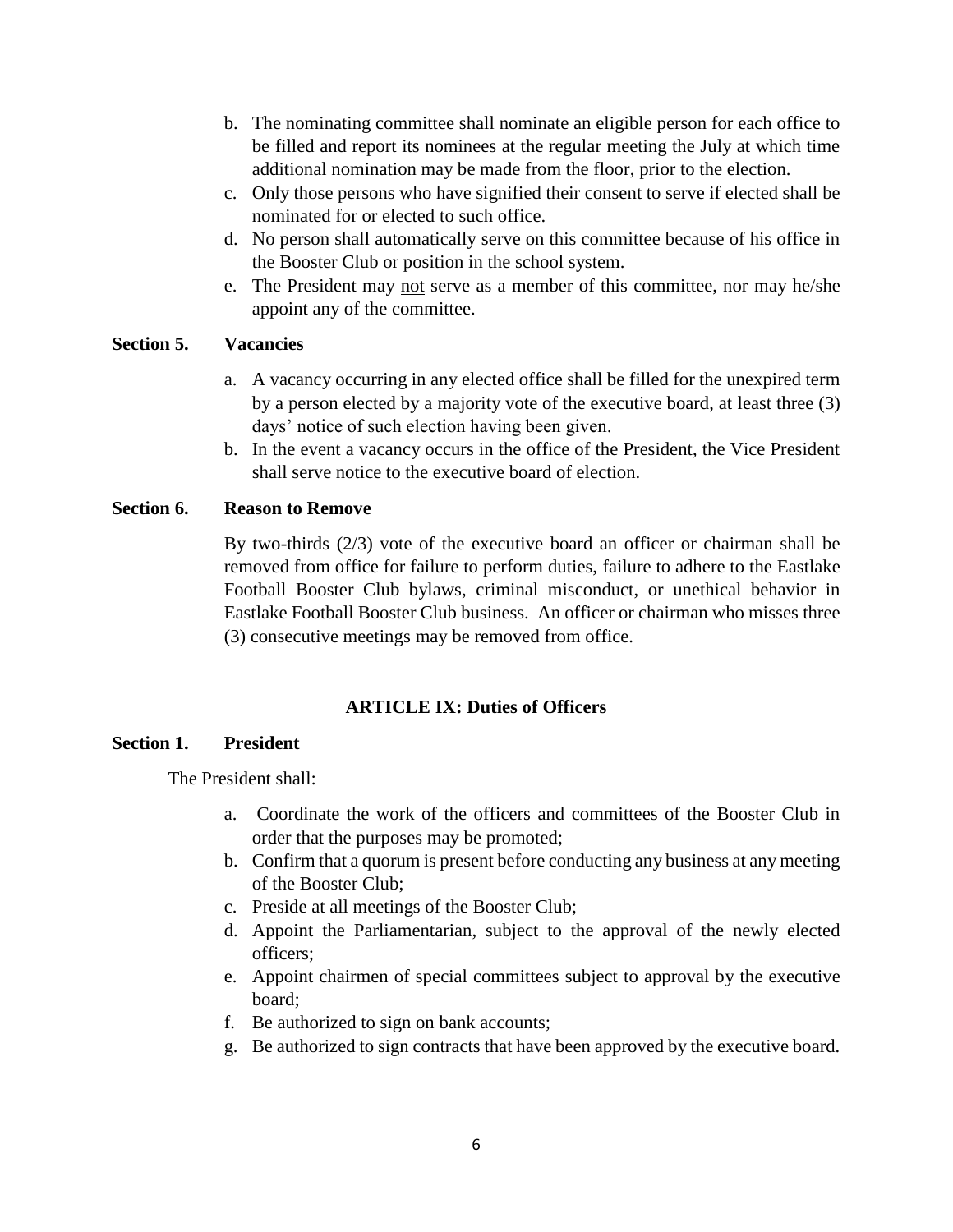- b. The nominating committee shall nominate an eligible person for each office to be filled and report its nominees at the regular meeting the July at which time additional nomination may be made from the floor, prior to the election.
- c. Only those persons who have signified their consent to serve if elected shall be nominated for or elected to such office.
- d. No person shall automatically serve on this committee because of his office in the Booster Club or position in the school system.
- e. The President may not serve as a member of this committee, nor may he/she appoint any of the committee.

## **Section 5. Vacancies**

- a. A vacancy occurring in any elected office shall be filled for the unexpired term by a person elected by a majority vote of the executive board, at least three (3) days' notice of such election having been given.
- b. In the event a vacancy occurs in the office of the President, the Vice President shall serve notice to the executive board of election.

# **Section 6. Reason to Remove**

By two-thirds (2/3) vote of the executive board an officer or chairman shall be removed from office for failure to perform duties, failure to adhere to the Eastlake Football Booster Club bylaws, criminal misconduct, or unethical behavior in Eastlake Football Booster Club business. An officer or chairman who misses three (3) consecutive meetings may be removed from office.

### **ARTICLE IX: Duties of Officers**

### **Section 1. President**

The President shall:

- a. Coordinate the work of the officers and committees of the Booster Club in order that the purposes may be promoted;
- b. Confirm that a quorum is present before conducting any business at any meeting of the Booster Club;
- c. Preside at all meetings of the Booster Club;
- d. Appoint the Parliamentarian, subject to the approval of the newly elected officers;
- e. Appoint chairmen of special committees subject to approval by the executive board;
- f. Be authorized to sign on bank accounts;
- g. Be authorized to sign contracts that have been approved by the executive board.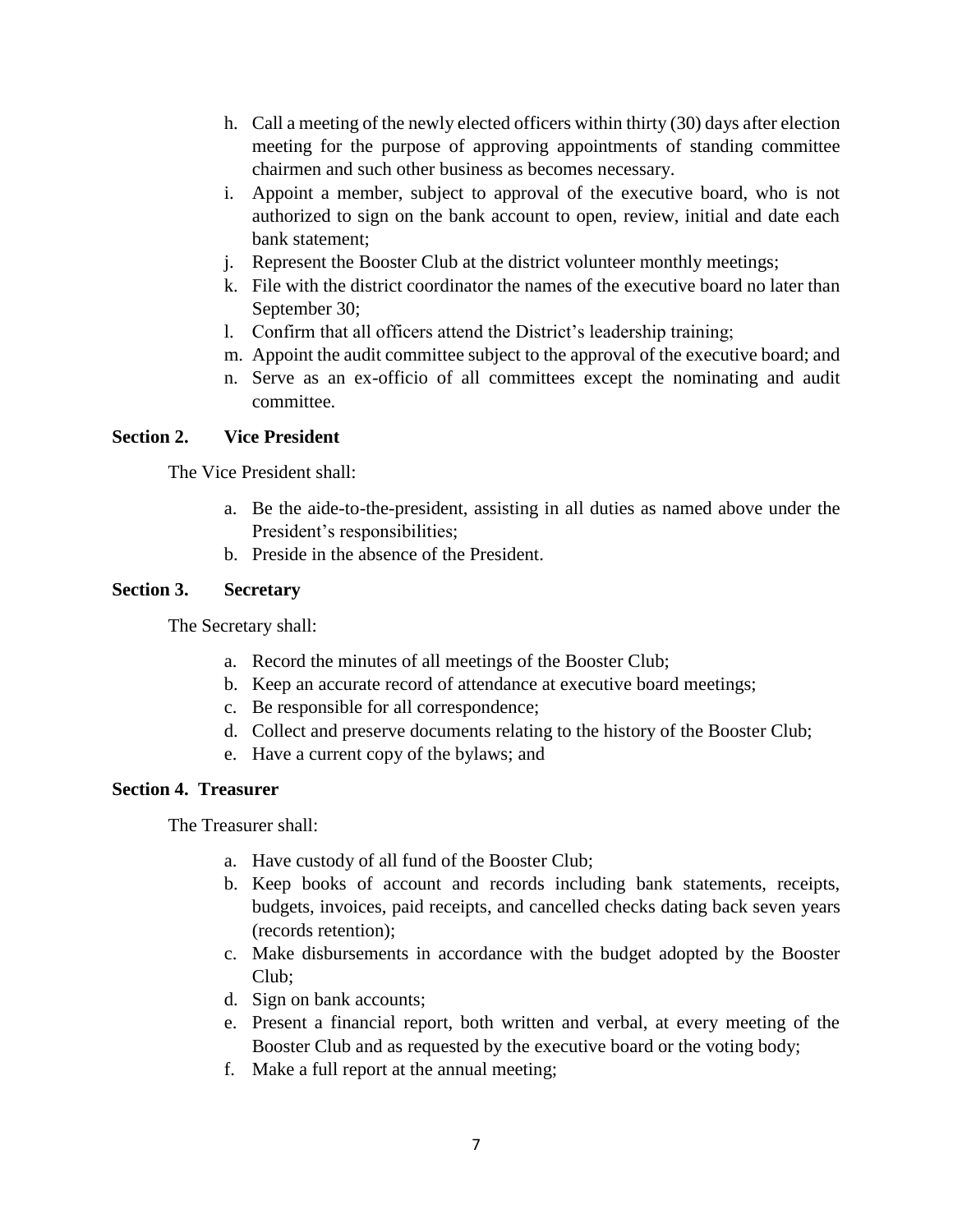- h. Call a meeting of the newly elected officers within thirty (30) days after election meeting for the purpose of approving appointments of standing committee chairmen and such other business as becomes necessary.
- i. Appoint a member, subject to approval of the executive board, who is not authorized to sign on the bank account to open, review, initial and date each bank statement;
- j. Represent the Booster Club at the district volunteer monthly meetings;
- k. File with the district coordinator the names of the executive board no later than September 30;
- l. Confirm that all officers attend the District's leadership training;
- m. Appoint the audit committee subject to the approval of the executive board; and
- n. Serve as an ex-officio of all committees except the nominating and audit committee.

### **Section 2. Vice President**

The Vice President shall:

- a. Be the aide-to-the-president, assisting in all duties as named above under the President's responsibilities;
- b. Preside in the absence of the President.

### **Section 3. Secretary**

The Secretary shall:

- a. Record the minutes of all meetings of the Booster Club;
- b. Keep an accurate record of attendance at executive board meetings;
- c. Be responsible for all correspondence;
- d. Collect and preserve documents relating to the history of the Booster Club;
- e. Have a current copy of the bylaws; and

### **Section 4. Treasurer**

The Treasurer shall:

- a. Have custody of all fund of the Booster Club;
- b. Keep books of account and records including bank statements, receipts, budgets, invoices, paid receipts, and cancelled checks dating back seven years (records retention);
- c. Make disbursements in accordance with the budget adopted by the Booster Club;
- d. Sign on bank accounts;
- e. Present a financial report, both written and verbal, at every meeting of the Booster Club and as requested by the executive board or the voting body;
- f. Make a full report at the annual meeting;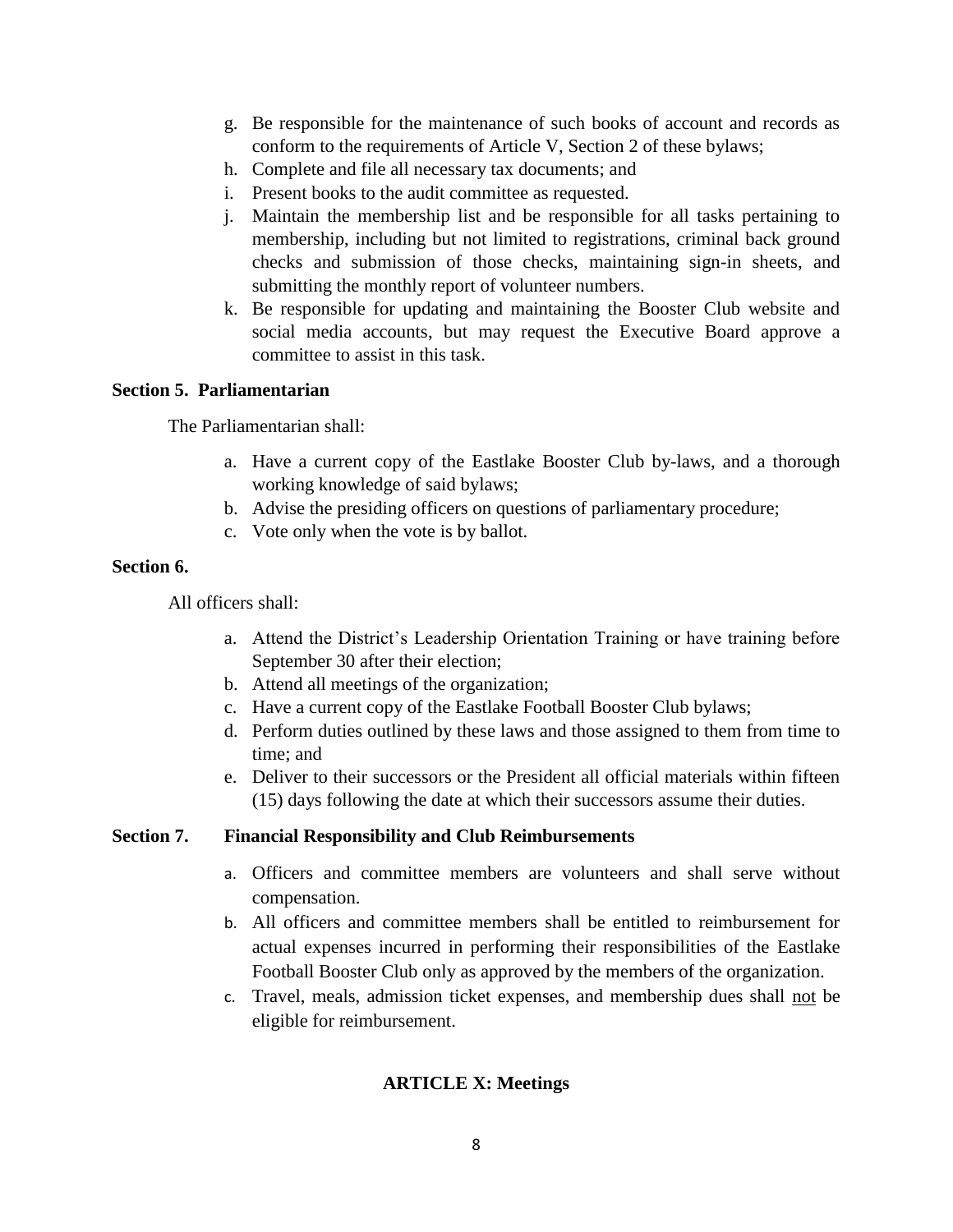- g. Be responsible for the maintenance of such books of account and records as conform to the requirements of Article V, Section 2 of these bylaws;
- h. Complete and file all necessary tax documents; and
- i. Present books to the audit committee as requested.
- j. Maintain the membership list and be responsible for all tasks pertaining to membership, including but not limited to registrations, criminal back ground checks and submission of those checks, maintaining sign-in sheets, and submitting the monthly report of volunteer numbers.
- k. Be responsible for updating and maintaining the Booster Club website and social media accounts, but may request the Executive Board approve a committee to assist in this task.

#### **Section 5. Parliamentarian**

The Parliamentarian shall:

- a. Have a current copy of the Eastlake Booster Club by-laws, and a thorough working knowledge of said bylaws;
- b. Advise the presiding officers on questions of parliamentary procedure;
- c. Vote only when the vote is by ballot.

#### **Section 6.**

All officers shall:

- a. Attend the District's Leadership Orientation Training or have training before September 30 after their election;
- b. Attend all meetings of the organization;
- c. Have a current copy of the Eastlake Football Booster Club bylaws;
- d. Perform duties outlined by these laws and those assigned to them from time to time; and
- e. Deliver to their successors or the President all official materials within fifteen (15) days following the date at which their successors assume their duties.

### **Section 7. Financial Responsibility and Club Reimbursements**

- a. Officers and committee members are volunteers and shall serve without compensation.
- b. All officers and committee members shall be entitled to reimbursement for actual expenses incurred in performing their responsibilities of the Eastlake Football Booster Club only as approved by the members of the organization.
- c. Travel, meals, admission ticket expenses, and membership dues shall not be eligible for reimbursement.

### **ARTICLE X: Meetings**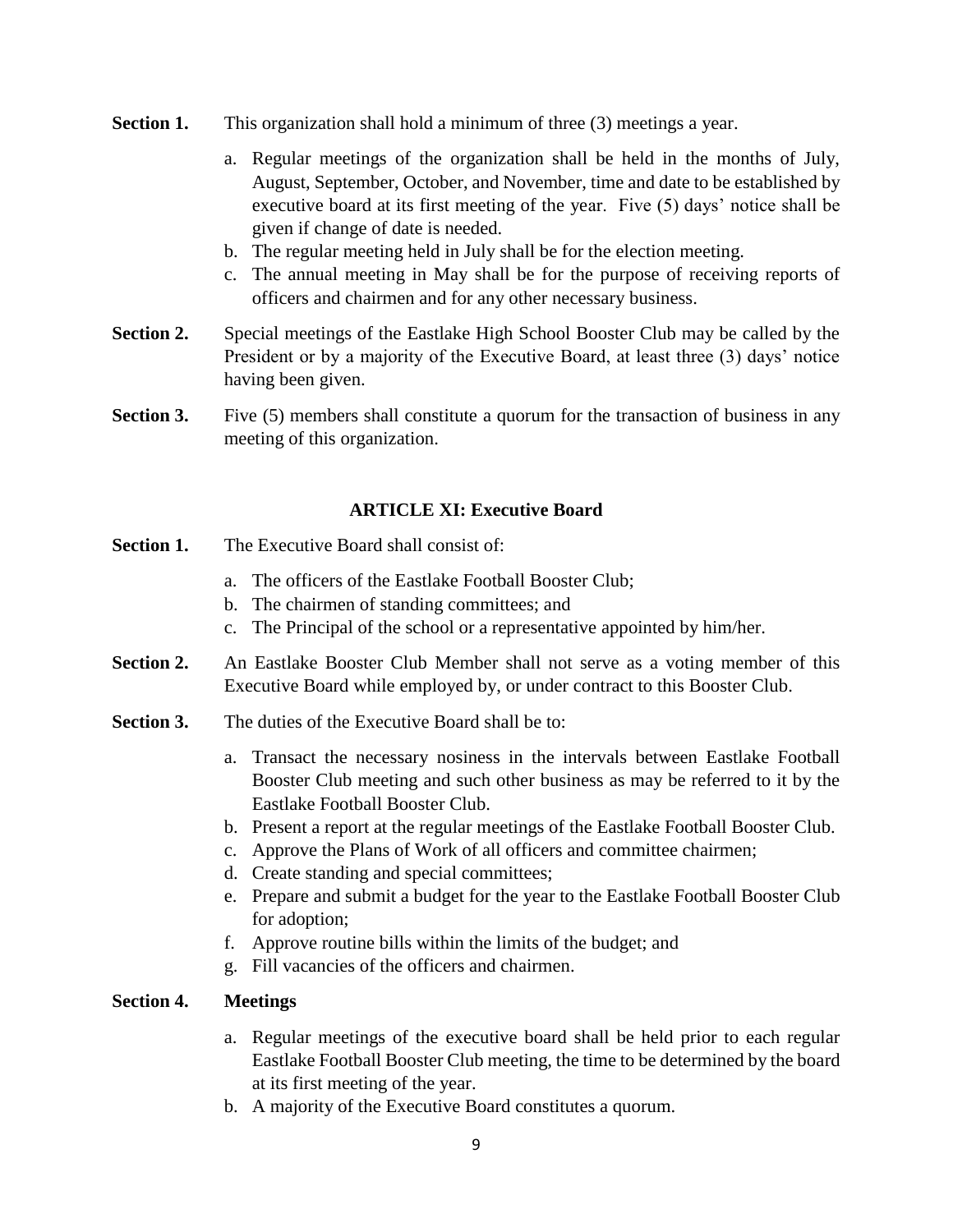- **Section 1.** This organization shall hold a minimum of three (3) meetings a year.
	- a. Regular meetings of the organization shall be held in the months of July, August, September, October, and November, time and date to be established by executive board at its first meeting of the year. Five (5) days' notice shall be given if change of date is needed.
	- b. The regular meeting held in July shall be for the election meeting.
	- c. The annual meeting in May shall be for the purpose of receiving reports of officers and chairmen and for any other necessary business.
- **Section 2.** Special meetings of the Eastlake High School Booster Club may be called by the President or by a majority of the Executive Board, at least three (3) days' notice having been given.
- **Section 3.** Five (5) members shall constitute a quorum for the transaction of business in any meeting of this organization.

## **ARTICLE XI: Executive Board**

- **Section 1.** The Executive Board shall consist of:
	- a. The officers of the Eastlake Football Booster Club;
	- b. The chairmen of standing committees; and
	- c. The Principal of the school or a representative appointed by him/her.
- **Section 2.** An Eastlake Booster Club Member shall not serve as a voting member of this Executive Board while employed by, or under contract to this Booster Club.
- **Section 3.** The duties of the Executive Board shall be to:
	- a. Transact the necessary nosiness in the intervals between Eastlake Football Booster Club meeting and such other business as may be referred to it by the Eastlake Football Booster Club.
	- b. Present a report at the regular meetings of the Eastlake Football Booster Club.
	- c. Approve the Plans of Work of all officers and committee chairmen;
	- d. Create standing and special committees;
	- e. Prepare and submit a budget for the year to the Eastlake Football Booster Club for adoption;
	- f. Approve routine bills within the limits of the budget; and
	- g. Fill vacancies of the officers and chairmen.

### **Section 4. Meetings**

- a. Regular meetings of the executive board shall be held prior to each regular Eastlake Football Booster Club meeting, the time to be determined by the board at its first meeting of the year.
- b. A majority of the Executive Board constitutes a quorum.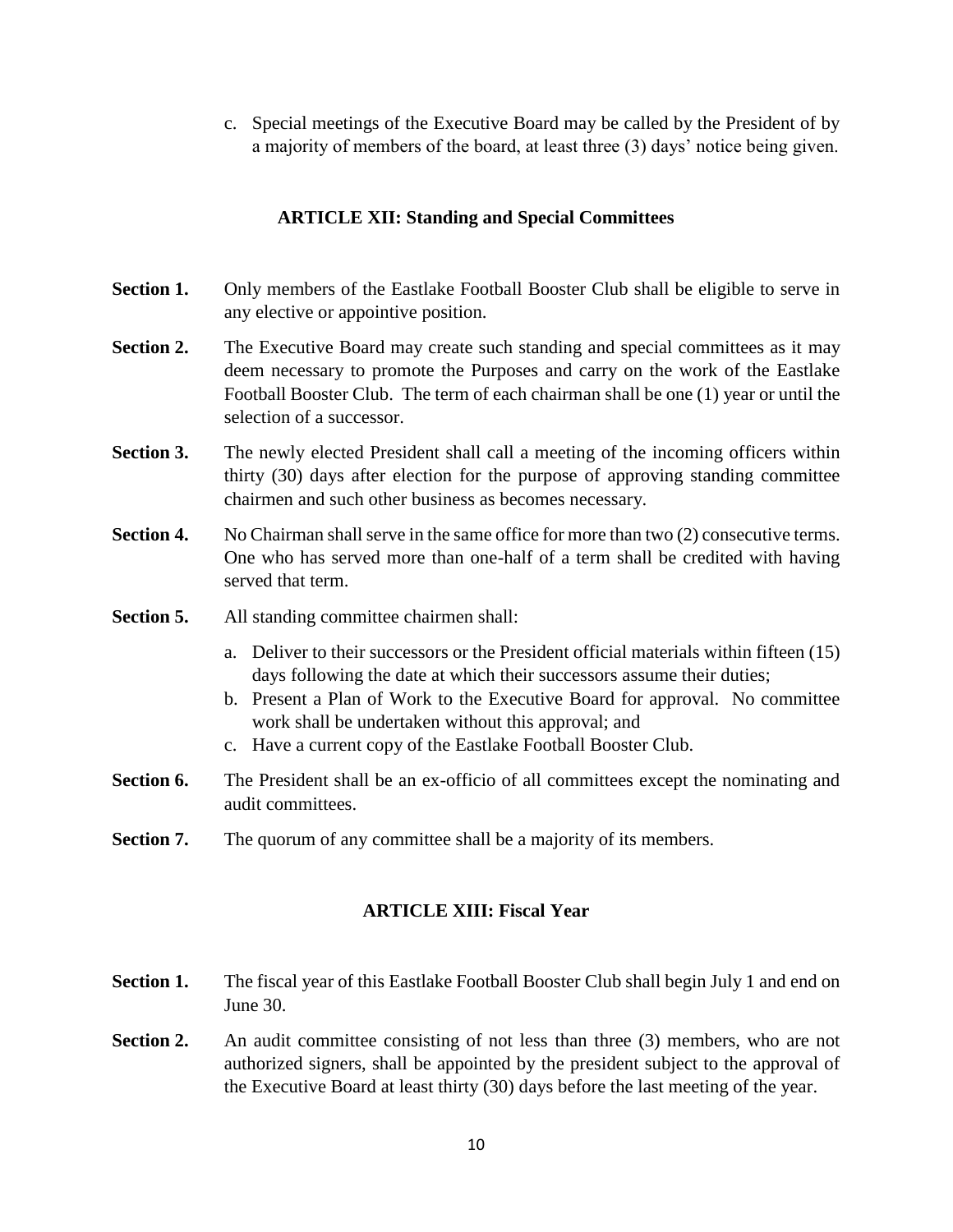c. Special meetings of the Executive Board may be called by the President of by a majority of members of the board, at least three (3) days' notice being given.

## **ARTICLE XII: Standing and Special Committees**

- **Section 1.** Only members of the Eastlake Football Booster Club shall be eligible to serve in any elective or appointive position.
- **Section 2.** The Executive Board may create such standing and special committees as it may deem necessary to promote the Purposes and carry on the work of the Eastlake Football Booster Club. The term of each chairman shall be one (1) year or until the selection of a successor.
- **Section 3.** The newly elected President shall call a meeting of the incoming officers within thirty (30) days after election for the purpose of approving standing committee chairmen and such other business as becomes necessary.
- **Section 4.** No Chairman shall serve in the same office for more than two (2) consecutive terms. One who has served more than one-half of a term shall be credited with having served that term.
- **Section 5.** All standing committee chairmen shall:
	- a. Deliver to their successors or the President official materials within fifteen (15) days following the date at which their successors assume their duties;
	- b. Present a Plan of Work to the Executive Board for approval. No committee work shall be undertaken without this approval; and
	- c. Have a current copy of the Eastlake Football Booster Club.
- **Section 6.** The President shall be an ex-officio of all committees except the nominating and audit committees.
- **Section 7.** The quorum of any committee shall be a majority of its members.

## **ARTICLE XIII: Fiscal Year**

- **Section 1.** The fiscal year of this Eastlake Football Booster Club shall begin July 1 and end on June 30.
- **Section 2.** An audit committee consisting of not less than three (3) members, who are not authorized signers, shall be appointed by the president subject to the approval of the Executive Board at least thirty (30) days before the last meeting of the year.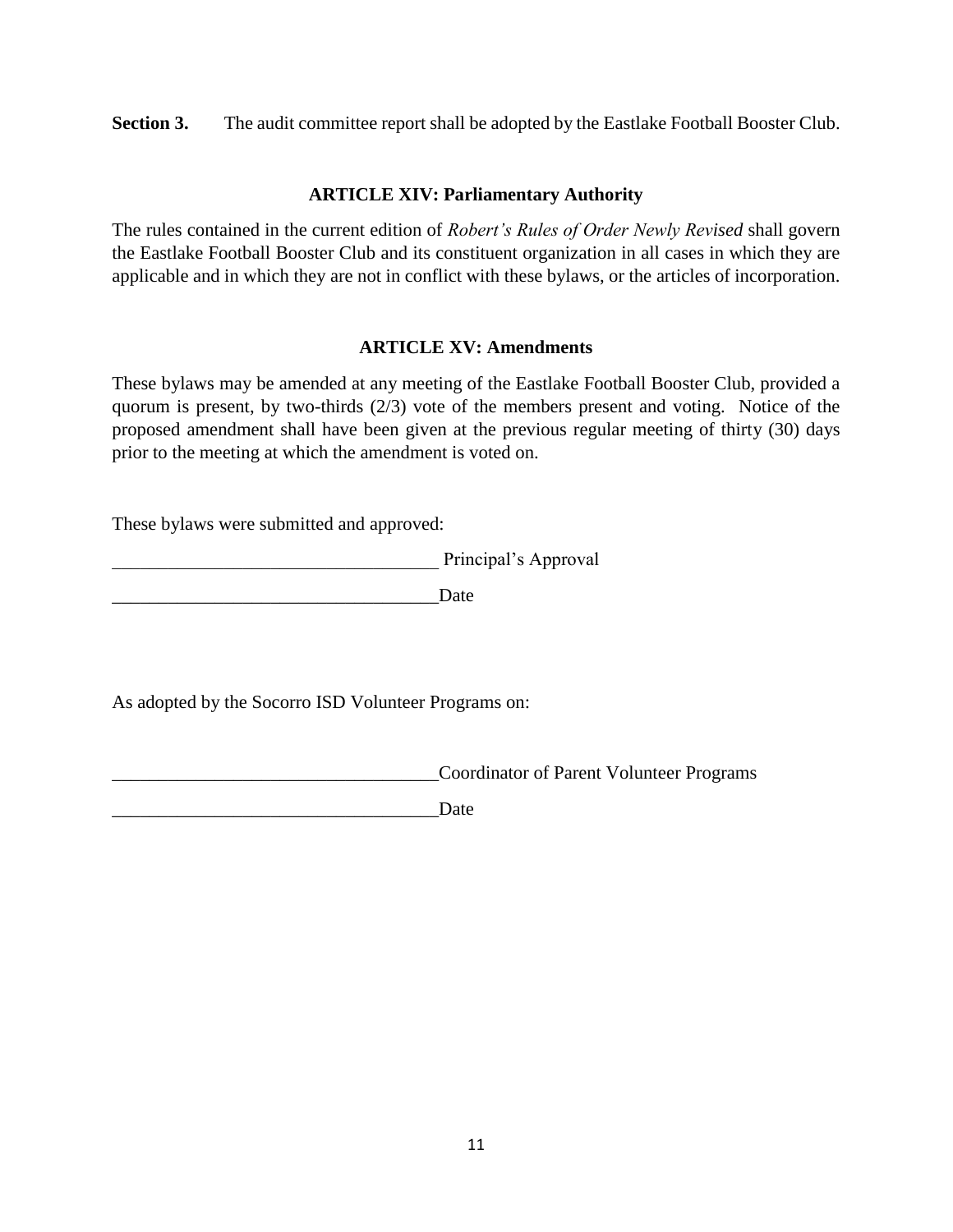**Section 3.** The audit committee report shall be adopted by the Eastlake Football Booster Club.

### **ARTICLE XIV: Parliamentary Authority**

The rules contained in the current edition of *Robert's Rules of Order Newly Revised* shall govern the Eastlake Football Booster Club and its constituent organization in all cases in which they are applicable and in which they are not in conflict with these bylaws, or the articles of incorporation.

## **ARTICLE XV: Amendments**

These bylaws may be amended at any meeting of the Eastlake Football Booster Club, provided a quorum is present, by two-thirds (2/3) vote of the members present and voting. Notice of the proposed amendment shall have been given at the previous regular meeting of thirty (30) days prior to the meeting at which the amendment is voted on.

These bylaws were submitted and approved:

\_\_\_\_\_\_\_\_\_\_\_\_\_\_\_\_\_\_\_\_\_\_\_\_\_\_\_\_\_\_\_\_\_\_\_ Principal's Approval

\_\_\_\_\_\_\_\_\_\_\_\_\_\_\_\_\_\_\_\_\_\_\_\_\_\_\_\_\_\_\_\_\_\_\_Date

As adopted by the Socorro ISD Volunteer Programs on:

\_\_\_\_\_\_\_\_\_\_\_\_\_\_\_\_\_\_\_\_\_\_\_\_\_\_\_\_\_\_\_\_\_\_\_Coordinator of Parent Volunteer Programs

\_\_\_\_\_\_\_\_\_\_\_\_\_\_\_\_\_\_\_\_\_\_\_\_\_\_\_\_\_\_\_\_\_\_\_Date